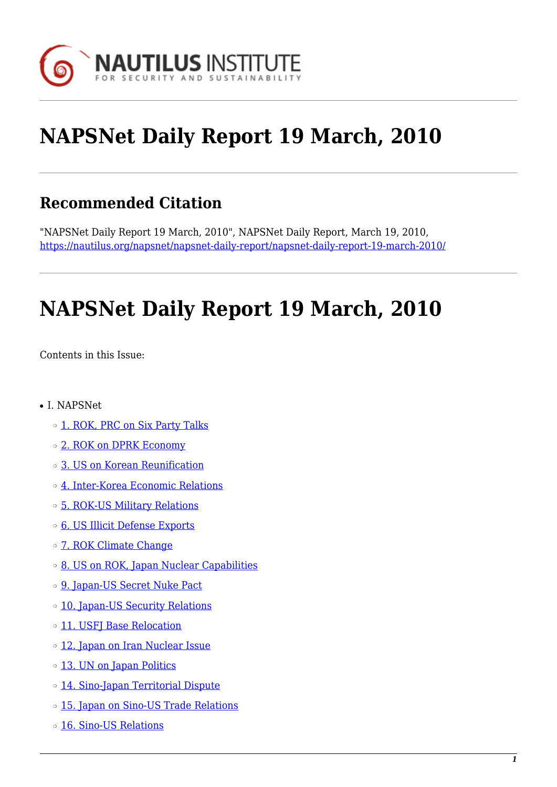

# **NAPSNet Daily Report 19 March, 2010**

# **Recommended Citation**

"NAPSNet Daily Report 19 March, 2010", NAPSNet Daily Report, March 19, 2010, <https://nautilus.org/napsnet/napsnet-daily-report/napsnet-daily-report-19-march-2010/>

# **NAPSNet Daily Report 19 March, 2010**

<span id="page-0-0"></span>Contents in this Issue:

- I. NAPSNet
	- o [1. ROK, PRC on Six Party Talks](#page-1-0)
	- ❍ [2. ROK on DPRK Economy](#page-1-1)
	- ❍ [3. US on Korean Reunification](#page-1-2)
	- ❍ [4. Inter-Korea Economic Relations](#page-2-0)
	- ❍ [5. ROK-US Military Relations](#page-2-1)
	- ❍ [6. US Illicit Defense Exports](#page-2-2)
	- o [7. ROK Climate Change](#page-3-0)
	- ❍ [8. US on ROK, Japan Nuclear Capabilities](#page-3-1)
	- o [9. Japan-US Secret Nuke Pact](#page-3-2)
	- o [10. Japan-US Security Relations](#page-4-0)
	- o [11. USFJ Base Relocation](#page-4-1)
	- ❍ [12. Japan on Iran Nuclear Issue](#page-5-0)
	- o [13. UN on Japan Politics](#page-5-1)
	- ❍ [14. Sino-Japan Territorial Dispute](#page-5-2)
	- o [15. Japan on Sino-US Trade Relations](#page-6-0)
	- ❍ [16. Sino-US Relations](#page-6-1)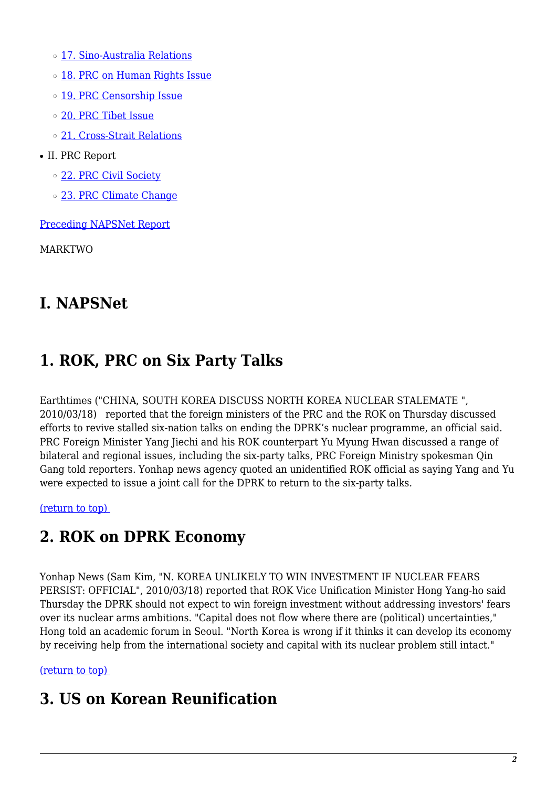- o [17. Sino-Australia Relations](#page-6-2)
- o [18. PRC on Human Rights Issue](#page-7-0)
- o [19. PRC Censorship Issue](#page-7-1)
- ❍ [20. PRC Tibet Issue](#page-7-2)
- ❍ [21. Cross-Strait Relations](#page-7-3)
- II. PRC Report
	- ❍ [22. PRC Civil Society](#page-8-0)
	- o [23. PRC Climate Change](#page-8-1)

[Preceding NAPSNet Report](https://nautilus.org/mailing-lists/napsnet/dr/2010-2/napsnet-daily-report-18-march-2010/)

MARKTWO

### **I. NAPSNet**

# <span id="page-1-0"></span>**1. ROK, PRC on Six Party Talks**

Earthtimes ("CHINA, SOUTH KOREA DISCUSS NORTH KOREA NUCLEAR STALEMATE ", 2010/03/18) reported that the foreign ministers of the PRC and the ROK on Thursday discussed efforts to revive stalled six-nation talks on ending the DPRK's nuclear programme, an official said. PRC Foreign Minister Yang Jiechi and his ROK counterpart Yu Myung Hwan discussed a range of bilateral and regional issues, including the six-party talks, PRC Foreign Ministry spokesman Qin Gang told reporters. Yonhap news agency quoted an unidentified ROK official as saying Yang and Yu were expected to issue a joint call for the DPRK to return to the six-party talks.

<span id="page-1-1"></span>[\(return to top\)](#page-0-0) 

# **2. ROK on DPRK Economy**

Yonhap News (Sam Kim, "N. KOREA UNLIKELY TO WIN INVESTMENT IF NUCLEAR FEARS PERSIST: OFFICIAL", 2010/03/18) reported that ROK Vice Unification Minister Hong Yang-ho said Thursday the DPRK should not expect to win foreign investment without addressing investors' fears over its nuclear arms ambitions. "Capital does not flow where there are (political) uncertainties," Hong told an academic forum in Seoul. "North Korea is wrong if it thinks it can develop its economy by receiving help from the international society and capital with its nuclear problem still intact."

#### <span id="page-1-2"></span>[\(return to top\)](#page-0-0)

#### **3. US on Korean Reunification**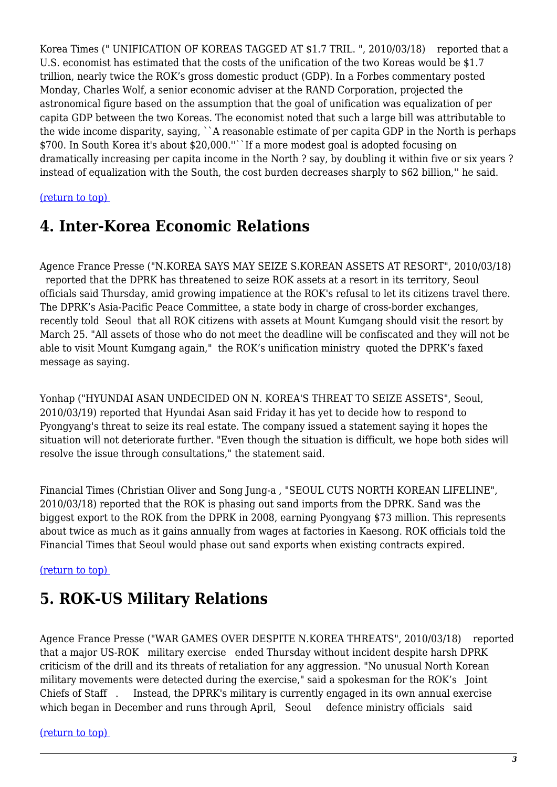Korea Times (" UNIFICATION OF KOREAS TAGGED AT \$1.7 TRIL. ", 2010/03/18) reported that a U.S. economist has estimated that the costs of the unification of the two Koreas would be \$1.7 trillion, nearly twice the ROK's gross domestic product (GDP). In a Forbes commentary posted Monday, Charles Wolf, a senior economic adviser at the RAND Corporation, projected the astronomical figure based on the assumption that the goal of unification was equalization of per capita GDP between the two Koreas. The economist noted that such a large bill was attributable to the wide income disparity, saying, ``A reasonable estimate of per capita GDP in the North is perhaps \$700. In South Korea it's about \$20,000.''``If a more modest goal is adopted focusing on dramatically increasing per capita income in the North ? say, by doubling it within five or six years ? instead of equalization with the South, the cost burden decreases sharply to \$62 billion,'' he said.

#### <span id="page-2-0"></span>[\(return to top\)](#page-0-0)

#### **4. Inter-Korea Economic Relations**

Agence France Presse ("N.KOREA SAYS MAY SEIZE S.KOREAN ASSETS AT RESORT", 2010/03/18) reported that the DPRK has threatened to seize ROK assets at a resort in its territory, Seoul officials said Thursday, amid growing impatience at the ROK's refusal to let its citizens travel there. The DPRK's Asia-Pacific Peace Committee, a state body in charge of cross-border exchanges, recently told Seoul that all ROK citizens with assets at Mount Kumgang should visit the resort by March 25. "All assets of those who do not meet the deadline will be confiscated and they will not be able to visit Mount Kumgang again," the ROK's unification ministry quoted the DPRK's faxed message as saying.

Yonhap ("HYUNDAI ASAN UNDECIDED ON N. KOREA'S THREAT TO SEIZE ASSETS", Seoul, 2010/03/19) reported that Hyundai Asan said Friday it has yet to decide how to respond to Pyongyang's threat to seize its real estate. The company issued a statement saying it hopes the situation will not deteriorate further. "Even though the situation is difficult, we hope both sides will resolve the issue through consultations," the statement said.

Financial Times (Christian Oliver and Song Jung-a , "SEOUL CUTS NORTH KOREAN LIFELINE", 2010/03/18) reported that the ROK is phasing out sand imports from the DPRK. Sand was the biggest export to the ROK from the DPRK in 2008, earning Pyongyang \$73 million. This represents about twice as much as it gains annually from wages at factories in Kaesong. ROK officials told the Financial Times that Seoul would phase out sand exports when existing contracts expired.

#### <span id="page-2-1"></span>[\(return to top\)](#page-0-0)

#### **5. ROK-US Military Relations**

Agence France Presse ("WAR GAMES OVER DESPITE N.KOREA THREATS", 2010/03/18) reported that a major US-ROK military exercise ended Thursday without incident despite harsh DPRK criticism of the drill and its threats of retaliation for any aggression. "No unusual North Korean military movements were detected during the exercise," said a spokesman for the ROK's Joint Chiefs of Staff . Instead, the DPRK's military is currently engaged in its own annual exercise which began in December and runs through April, Seoul defence ministry officials said

#### <span id="page-2-2"></span>[\(return to top\)](#page-0-0)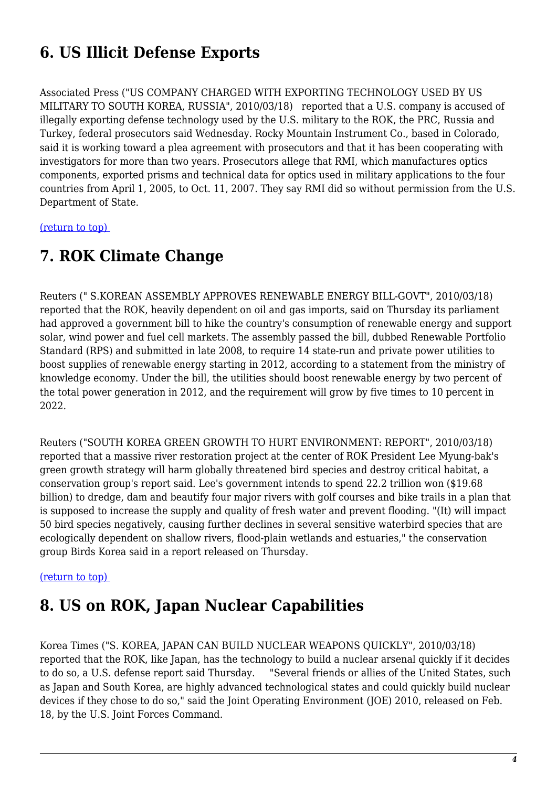# **6. US Illicit Defense Exports**

Associated Press ("US COMPANY CHARGED WITH EXPORTING TECHNOLOGY USED BY US MILITARY TO SOUTH KOREA, RUSSIA", 2010/03/18) reported that a U.S. company is accused of illegally exporting defense technology used by the U.S. military to the ROK, the PRC, Russia and Turkey, federal prosecutors said Wednesday. Rocky Mountain Instrument Co., based in Colorado, said it is working toward a plea agreement with prosecutors and that it has been cooperating with investigators for more than two years. Prosecutors allege that RMI, which manufactures optics components, exported prisms and technical data for optics used in military applications to the four countries from April 1, 2005, to Oct. 11, 2007. They say RMI did so without permission from the U.S. Department of State.

<span id="page-3-0"></span>[\(return to top\)](#page-0-0) 

### **7. ROK Climate Change**

Reuters (" S.KOREAN ASSEMBLY APPROVES RENEWABLE ENERGY BILL-GOVT", 2010/03/18) reported that the ROK, heavily dependent on oil and gas imports, said on Thursday its parliament had approved a government bill to hike the country's consumption of renewable energy and support solar, wind power and fuel cell markets. The assembly passed the bill, dubbed Renewable Portfolio Standard (RPS) and submitted in late 2008, to require 14 state-run and private power utilities to boost supplies of renewable energy starting in 2012, according to a statement from the ministry of knowledge economy. Under the bill, the utilities should boost renewable energy by two percent of the total power generation in 2012, and the requirement will grow by five times to 10 percent in 2022.

Reuters ("SOUTH KOREA GREEN GROWTH TO HURT ENVIRONMENT: REPORT", 2010/03/18) reported that a massive river restoration project at the center of ROK President Lee Myung-bak's green growth strategy will harm globally threatened bird species and destroy critical habitat, a conservation group's report said. Lee's government intends to spend 22.2 trillion won (\$19.68 billion) to dredge, dam and beautify four major rivers with golf courses and bike trails in a plan that is supposed to increase the supply and quality of fresh water and prevent flooding. "(It) will impact 50 bird species negatively, causing further declines in several sensitive waterbird species that are ecologically dependent on shallow rivers, flood-plain wetlands and estuaries," the conservation group Birds Korea said in a report released on Thursday.

#### <span id="page-3-1"></span>[\(return to top\)](#page-0-0)

# **8. US on ROK, Japan Nuclear Capabilities**

<span id="page-3-2"></span>Korea Times ("S. KOREA, JAPAN CAN BUILD NUCLEAR WEAPONS QUICKLY", 2010/03/18) reported that the ROK, like Japan, has the technology to build a nuclear arsenal quickly if it decides to do so, a U.S. defense report said Thursday. "Several friends or allies of the United States, such as Japan and South Korea, are highly advanced technological states and could quickly build nuclear devices if they chose to do so," said the Joint Operating Environment (JOE) 2010, released on Feb. 18, by the U.S. Joint Forces Command.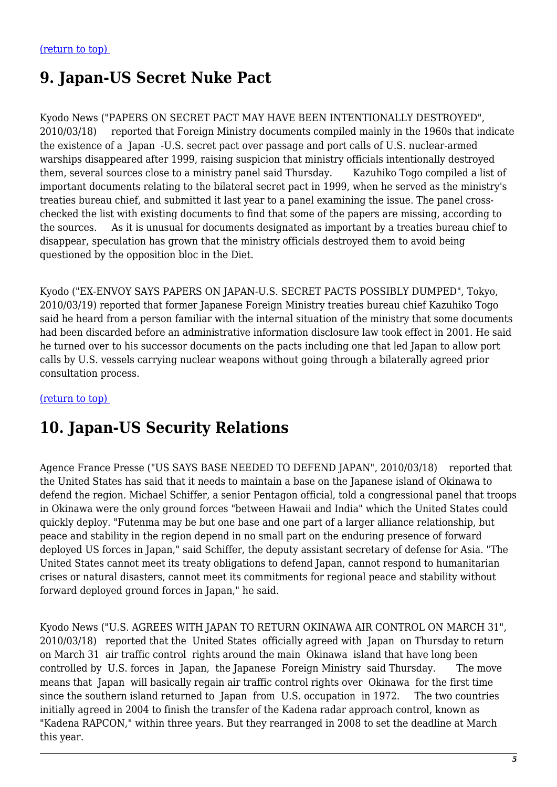# **9. Japan-US Secret Nuke Pact**

Kyodo News ("PAPERS ON SECRET PACT MAY HAVE BEEN INTENTIONALLY DESTROYED", 2010/03/18) reported that Foreign Ministry documents compiled mainly in the 1960s that indicate the existence of a Japan -U.S. secret pact over passage and port calls of U.S. nuclear-armed warships disappeared after 1999, raising suspicion that ministry officials intentionally destroyed them, several sources close to a ministry panel said Thursday. Kazuhiko Togo compiled a list of important documents relating to the bilateral secret pact in 1999, when he served as the ministry's treaties bureau chief, and submitted it last year to a panel examining the issue. The panel crosschecked the list with existing documents to find that some of the papers are missing, according to the sources. As it is unusual for documents designated as important by a treaties bureau chief to disappear, speculation has grown that the ministry officials destroyed them to avoid being questioned by the opposition bloc in the Diet.

Kyodo ("EX-ENVOY SAYS PAPERS ON JAPAN-U.S. SECRET PACTS POSSIBLY DUMPED", Tokyo, 2010/03/19) reported that former Japanese Foreign Ministry treaties bureau chief Kazuhiko Togo said he heard from a person familiar with the internal situation of the ministry that some documents had been discarded before an administrative information disclosure law took effect in 2001. He said he turned over to his successor documents on the pacts including one that led Japan to allow port calls by U.S. vessels carrying nuclear weapons without going through a bilaterally agreed prior consultation process.

#### <span id="page-4-0"></span>[\(return to top\)](#page-0-0)

### **10. Japan-US Security Relations**

Agence France Presse ("US SAYS BASE NEEDED TO DEFEND JAPAN", 2010/03/18) reported that the United States has said that it needs to maintain a base on the Japanese island of Okinawa to defend the region. Michael Schiffer, a senior Pentagon official, told a congressional panel that troops in Okinawa were the only ground forces "between Hawaii and India" which the United States could quickly deploy. "Futenma may be but one base and one part of a larger alliance relationship, but peace and stability in the region depend in no small part on the enduring presence of forward deployed US forces in Japan," said Schiffer, the deputy assistant secretary of defense for Asia. "The United States cannot meet its treaty obligations to defend Japan, cannot respond to humanitarian crises or natural disasters, cannot meet its commitments for regional peace and stability without forward deployed ground forces in Japan," he said.

<span id="page-4-1"></span>Kyodo News ("U.S. AGREES WITH JAPAN TO RETURN OKINAWA AIR CONTROL ON MARCH 31", 2010/03/18) reported that the United States officially agreed with Japan on Thursday to return on March 31 air traffic control rights around the main Okinawa island that have long been controlled by U.S. forces in Japan, the Japanese Foreign Ministry said Thursday. The move means that Japan will basically regain air traffic control rights over Okinawa for the first time since the southern island returned to Japan from U.S. occupation in 1972. The two countries initially agreed in 2004 to finish the transfer of the Kadena radar approach control, known as "Kadena RAPCON," within three years. But they rearranged in 2008 to set the deadline at March this year.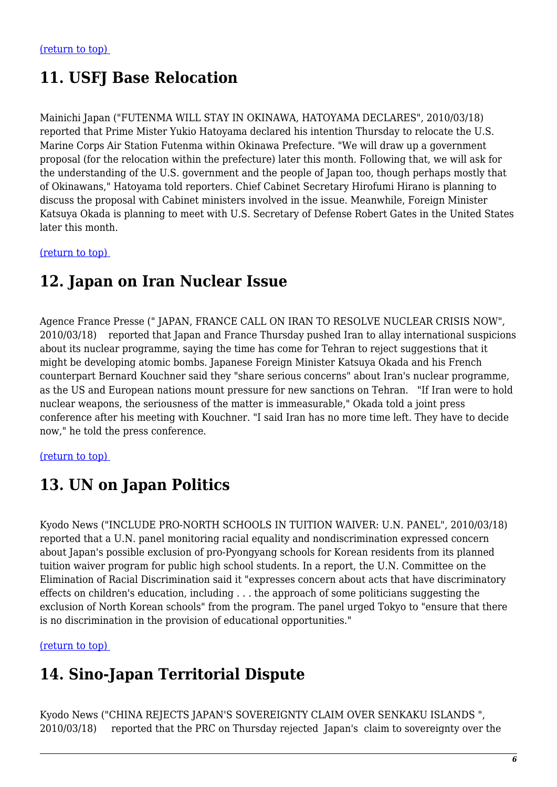# **11. USFJ Base Relocation**

Mainichi Japan ("FUTENMA WILL STAY IN OKINAWA, HATOYAMA DECLARES", 2010/03/18) reported that Prime Mister Yukio Hatoyama declared his intention Thursday to relocate the U.S. Marine Corps Air Station Futenma within Okinawa Prefecture. "We will draw up a government proposal (for the relocation within the prefecture) later this month. Following that, we will ask for the understanding of the U.S. government and the people of Japan too, though perhaps mostly that of Okinawans," Hatoyama told reporters. Chief Cabinet Secretary Hirofumi Hirano is planning to discuss the proposal with Cabinet ministers involved in the issue. Meanwhile, Foreign Minister Katsuya Okada is planning to meet with U.S. Secretary of Defense Robert Gates in the United States later this month.

<span id="page-5-0"></span>[\(return to top\)](#page-0-0) 

### **12. Japan on Iran Nuclear Issue**

Agence France Presse (" JAPAN, FRANCE CALL ON IRAN TO RESOLVE NUCLEAR CRISIS NOW", 2010/03/18) reported that Japan and France Thursday pushed Iran to allay international suspicions about its nuclear programme, saying the time has come for Tehran to reject suggestions that it might be developing atomic bombs. Japanese Foreign Minister Katsuya Okada and his French counterpart Bernard Kouchner said they "share serious concerns" about Iran's nuclear programme, as the US and European nations mount pressure for new sanctions on Tehran. "If Iran were to hold nuclear weapons, the seriousness of the matter is immeasurable," Okada told a joint press conference after his meeting with Kouchner. "I said Iran has no more time left. They have to decide now," he told the press conference.

#### <span id="page-5-1"></span>[\(return to top\)](#page-0-0)

### **13. UN on Japan Politics**

Kyodo News ("INCLUDE PRO-NORTH SCHOOLS IN TUITION WAIVER: U.N. PANEL", 2010/03/18) reported that a U.N. panel monitoring racial equality and nondiscrimination expressed concern about Japan's possible exclusion of pro-Pyongyang schools for Korean residents from its planned tuition waiver program for public high school students. In a report, the U.N. Committee on the Elimination of Racial Discrimination said it "expresses concern about acts that have discriminatory effects on children's education, including . . . the approach of some politicians suggesting the exclusion of North Korean schools" from the program. The panel urged Tokyo to "ensure that there is no discrimination in the provision of educational opportunities."

<span id="page-5-2"></span>[\(return to top\)](#page-0-0) 

### **14. Sino-Japan Territorial Dispute**

Kyodo News ("CHINA REJECTS JAPAN'S SOVEREIGNTY CLAIM OVER SENKAKU ISLANDS ", 2010/03/18) reported that the PRC on Thursday rejected Japan's claim to sovereignty over the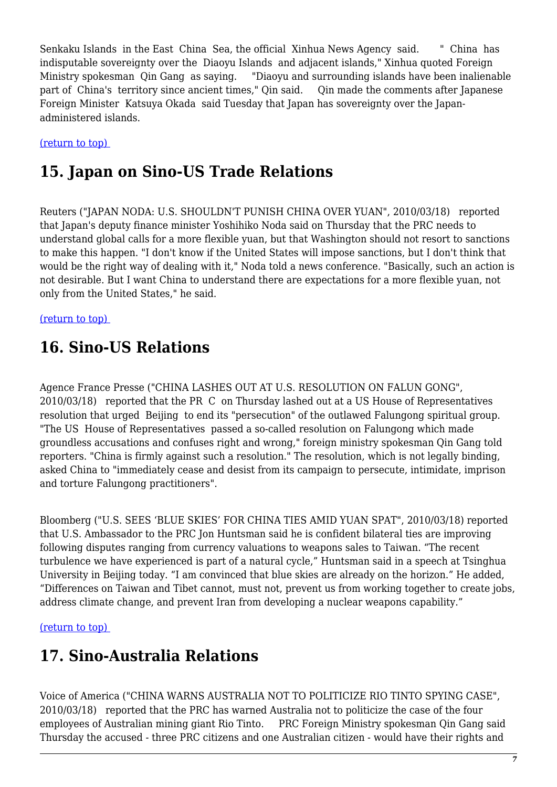Senkaku Islands in the East China Sea, the official Xinhua News Agency said. " China has indisputable sovereignty over the Diaoyu Islands and adjacent islands," Xinhua quoted Foreign Ministry spokesman Qin Gang as saying. "Diaoyu and surrounding islands have been inalienable part of China's territory since ancient times," Qin said. Qin made the comments after Japanese Foreign Minister Katsuya Okada said Tuesday that Japan has sovereignty over the Japanadministered islands.

<span id="page-6-0"></span>[\(return to top\)](#page-0-0) 

# **15. Japan on Sino-US Trade Relations**

Reuters ("JAPAN NODA: U.S. SHOULDN'T PUNISH CHINA OVER YUAN", 2010/03/18) reported that Japan's deputy finance minister Yoshihiko Noda said on Thursday that the PRC needs to understand global calls for a more flexible yuan, but that Washington should not resort to sanctions to make this happen. "I don't know if the United States will impose sanctions, but I don't think that would be the right way of dealing with it," Noda told a news conference. "Basically, such an action is not desirable. But I want China to understand there are expectations for a more flexible yuan, not only from the United States," he said.

<span id="page-6-1"></span>[\(return to top\)](#page-0-0) 

# **16. Sino-US Relations**

Agence France Presse ("CHINA LASHES OUT AT U.S. RESOLUTION ON FALUN GONG", 2010/03/18) reported that the PR C on Thursday lashed out at a US House of Representatives resolution that urged Beijing to end its "persecution" of the outlawed Falungong spiritual group. "The US House of Representatives passed a so-called resolution on Falungong which made groundless accusations and confuses right and wrong," foreign ministry spokesman Qin Gang told reporters. "China is firmly against such a resolution." The resolution, which is not legally binding, asked China to "immediately cease and desist from its campaign to persecute, intimidate, imprison and torture Falungong practitioners".

Bloomberg ("U.S. SEES 'BLUE SKIES' FOR CHINA TIES AMID YUAN SPAT", 2010/03/18) reported that U.S. Ambassador to the PRC Jon Huntsman said he is confident bilateral ties are improving following disputes ranging from currency valuations to weapons sales to Taiwan. "The recent turbulence we have experienced is part of a natural cycle," Huntsman said in a speech at Tsinghua University in Beijing today. "I am convinced that blue skies are already on the horizon." He added, "Differences on Taiwan and Tibet cannot, must not, prevent us from working together to create jobs, address climate change, and prevent Iran from developing a nuclear weapons capability."

<span id="page-6-2"></span>[\(return to top\)](#page-0-0) 

# **17. Sino-Australia Relations**

Voice of America ("CHINA WARNS AUSTRALIA NOT TO POLITICIZE RIO TINTO SPYING CASE", 2010/03/18) reported that the PRC has warned Australia not to politicize the case of the four employees of Australian mining giant Rio Tinto. PRC Foreign Ministry spokesman Qin Gang said Thursday the accused - three PRC citizens and one Australian citizen - would have their rights and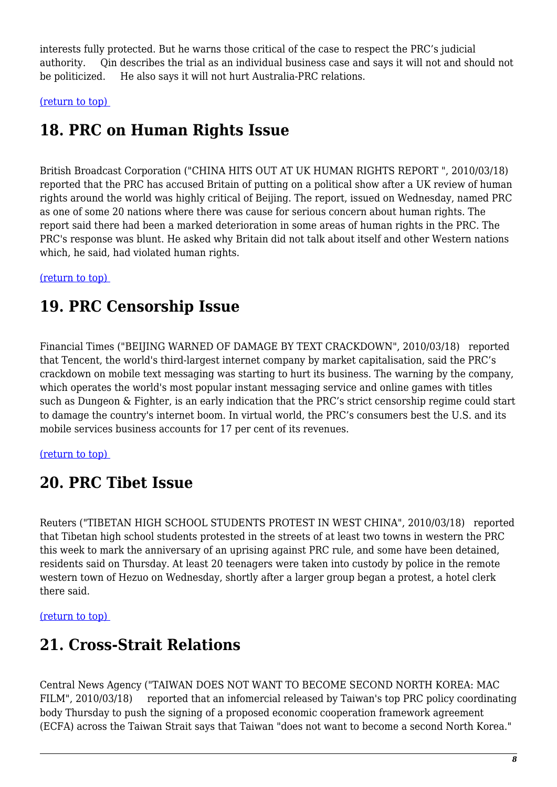interests fully protected. But he warns those critical of the case to respect the PRC's judicial authority. Qin describes the trial as an individual business case and says it will not and should not be politicized. He also says it will not hurt Australia-PRC relations.

<span id="page-7-0"></span>[\(return to top\)](#page-0-0) 

# **18. PRC on Human Rights Issue**

British Broadcast Corporation ("CHINA HITS OUT AT UK HUMAN RIGHTS REPORT ", 2010/03/18) reported that the PRC has accused Britain of putting on a political show after a UK review of human rights around the world was highly critical of Beijing. The report, issued on Wednesday, named PRC as one of some 20 nations where there was cause for serious concern about human rights. The report said there had been a marked deterioration in some areas of human rights in the PRC. The PRC's response was blunt. He asked why Britain did not talk about itself and other Western nations which, he said, had violated human rights.

#### <span id="page-7-1"></span>[\(return to top\)](#page-0-0)

# **19. PRC Censorship Issue**

Financial Times ("BEIJING WARNED OF DAMAGE BY TEXT CRACKDOWN", 2010/03/18) reported that Tencent, the world's third-largest internet company by market capitalisation, said the PRC's crackdown on mobile text messaging was starting to hurt its business. The warning by the company, which operates the world's most popular instant messaging service and online games with titles such as Dungeon & Fighter, is an early indication that the PRC's strict censorship regime could start to damage the country's internet boom. In virtual world, the PRC's consumers best the U.S. and its mobile services business accounts for 17 per cent of its revenues.

#### <span id="page-7-2"></span>[\(return to top\)](#page-0-0)

### **20. PRC Tibet Issue**

Reuters ("TIBETAN HIGH SCHOOL STUDENTS PROTEST IN WEST CHINA", 2010/03/18) reported that Tibetan high school students protested in the streets of at least two towns in western the PRC this week to mark the anniversary of an uprising against PRC rule, and some have been detained, residents said on Thursday. At least 20 teenagers were taken into custody by police in the remote western town of Hezuo on Wednesday, shortly after a larger group began a protest, a hotel clerk there said.

<span id="page-7-3"></span>[\(return to top\)](#page-0-0) 

# **21. Cross-Strait Relations**

Central News Agency ("TAIWAN DOES NOT WANT TO BECOME SECOND NORTH KOREA: MAC FILM", 2010/03/18) reported that an infomercial released by Taiwan's top PRC policy coordinating body Thursday to push the signing of a proposed economic cooperation framework agreement (ECFA) across the Taiwan Strait says that Taiwan "does not want to become a second North Korea."